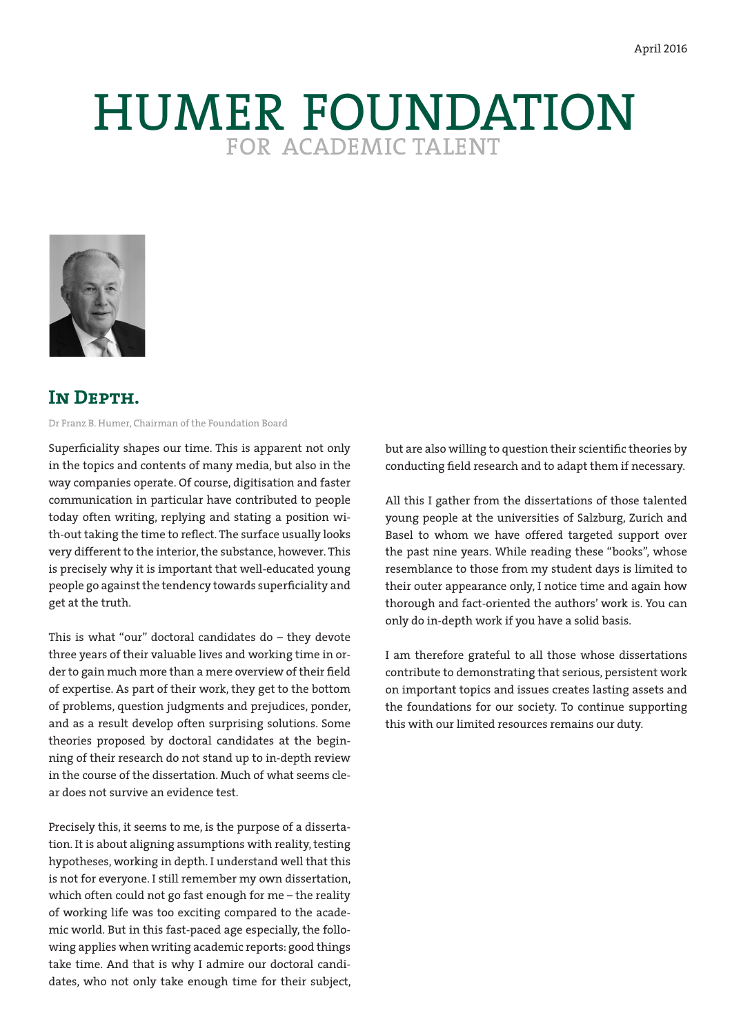# HUMER FOUNDATION



# **IN DEPTH.**

Dr Franz B. Humer, Chairman of the Foundation Board

Superficiality shapes our time. This is apparent not only in the topics and contents of many media, but also in the way companies operate. Of course, digitisation and faster communication in particular have contributed to people today often writing, replying and stating a position with-out taking the time to reflect. The surface usually looks very different to the interior, the substance, however. This is precisely why it is important that well-educated young people go against the tendency towards superficiality and get at the truth.

This is what "our" doctoral candidates do – they devote three years of their valuable lives and working time in order to gain much more than a mere overview of their field of expertise. As part of their work, they get to the bottom of problems, question judgments and prejudices, ponder, and as a result develop often surprising solutions. Some theories proposed by doctoral candidates at the beginning of their research do not stand up to in-depth review in the course of the dissertation. Much of what seems clear does not survive an evidence test.

Precisely this, it seems to me, is the purpose of a dissertation. It is about aligning assumptions with reality, testing hypotheses, working in depth. I understand well that this is not for everyone. I still remember my own dissertation, which often could not go fast enough for me – the reality of working life was too exciting compared to the academic world. But in this fast-paced age especially, the following applies when writing academic reports: good things take time. And that is why I admire our doctoral candidates, who not only take enough time for their subject,

but are also willing to question their scientific theories by conducting field research and to adapt them if necessary.

All this I gather from the dissertations of those talented young people at the universities of Salzburg, Zurich and Basel to whom we have offered targeted support over the past nine years. While reading these "books", whose resemblance to those from my student days is limited to their outer appearance only, I notice time and again how thorough and fact-oriented the authors' work is. You can only do in-depth work if you have a solid basis.

I am therefore grateful to all those whose dissertations contribute to demonstrating that serious, persistent work on important topics and issues creates lasting assets and the foundations for our society. To continue supporting this with our limited resources remains our duty.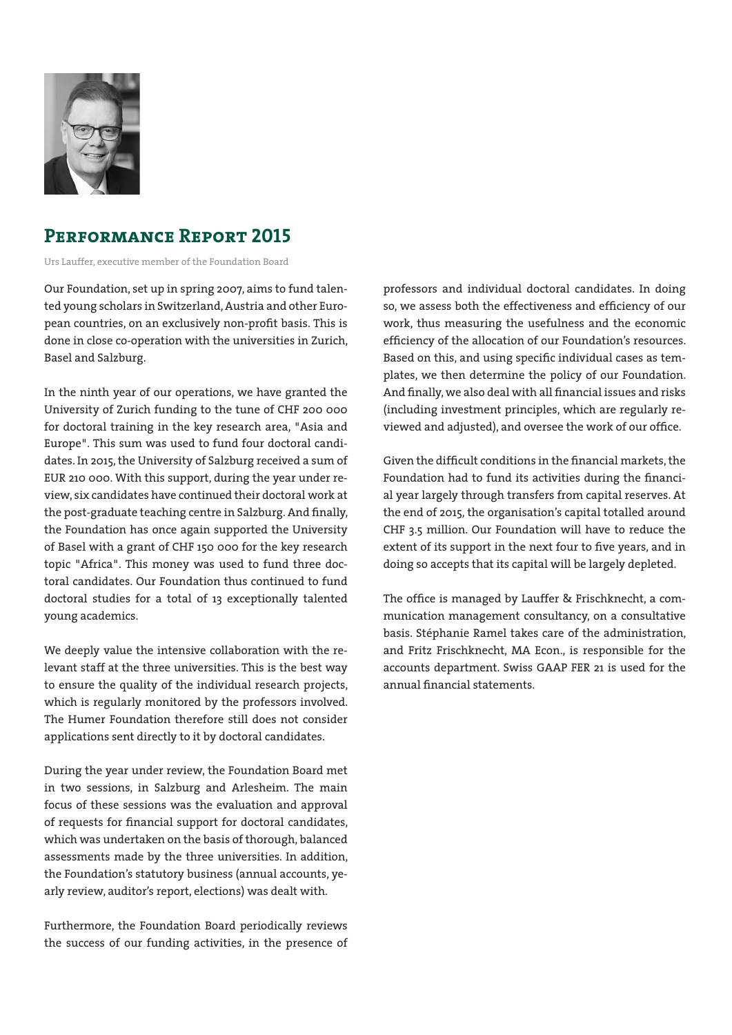

# **Performance Report 2015**

Urs Lauffer, executive member of the Foundation Board

Our Foundation, set up in spring 2007, aims to fund talented young scholars in Switzerland, Austria and other European countries, on an exclusively non-profit basis. This is done in close co-operation with the universities in Zurich, Basel and Salzburg.

In the ninth year of our operations, we have granted the University of Zurich funding to the tune of CHF 200 000 for doctoral training in the key research area, "Asia and Europe". This sum was used to fund four doctoral candidates. In 2015, the University of Salzburg received a sum of EUR 210 000. With this support, during the year under review, six candidates have continued their doctoral work at the post-graduate teaching centre in Salzburg. And finally, the Foundation has once again supported the University of Basel with a grant of CHF 150 000 for the key research topic "Africa". This money was used to fund three doctoral candidates. Our Foundation thus continued to fund doctoral studies for a total of 13 exceptionally talented young academics.

We deeply value the intensive collaboration with the relevant staff at the three universities. This is the best way to ensure the quality of the individual research projects, which is regularly monitored by the professors involved. The Humer Foundation therefore still does not consider applications sent directly to it by doctoral candidates.

During the year under review, the Foundation Board met in two sessions, in Salzburg and Arlesheim. The main focus of these sessions was the evaluation and approval of requests for financial support for doctoral candidates, which was undertaken on the basis of thorough, balanced assessments made by the three universities. In addition, the Foundation's statutory business (annual accounts, yearly review, auditor's report, elections) was dealt with.

Furthermore, the Foundation Board periodically reviews the success of our funding activities, in the presence of professors and individual doctoral candidates. In doing so, we assess both the effectiveness and efficiency of our work, thus measuring the usefulness and the economic efficiency of the allocation of our Foundation's resources. Based on this, and using specific individual cases as templates, we then determine the policy of our Foundation. And finally, we also deal with all financial issues and risks (including investment principles, which are regularly reviewed and adjusted), and oversee the work of our office.

Given the difficult conditions in the financial markets, the Foundation had to fund its activities during the financial year largely through transfers from capital reserves. At the end of 2015, the organisation's capital totalled around CHF 3.5 million. Our Foundation will have to reduce the extent of its support in the next four to five years, and in doing so accepts that its capital will be largely depleted.

The office is managed by Lauffer & Frischknecht, a communication management consultancy, on a consultative basis. Stéphanie Ramel takes care of the administration, and Fritz Frischknecht, MA Econ., is responsible for the accounts department. Swiss GAAP FER 21 is used for the annual financial statements.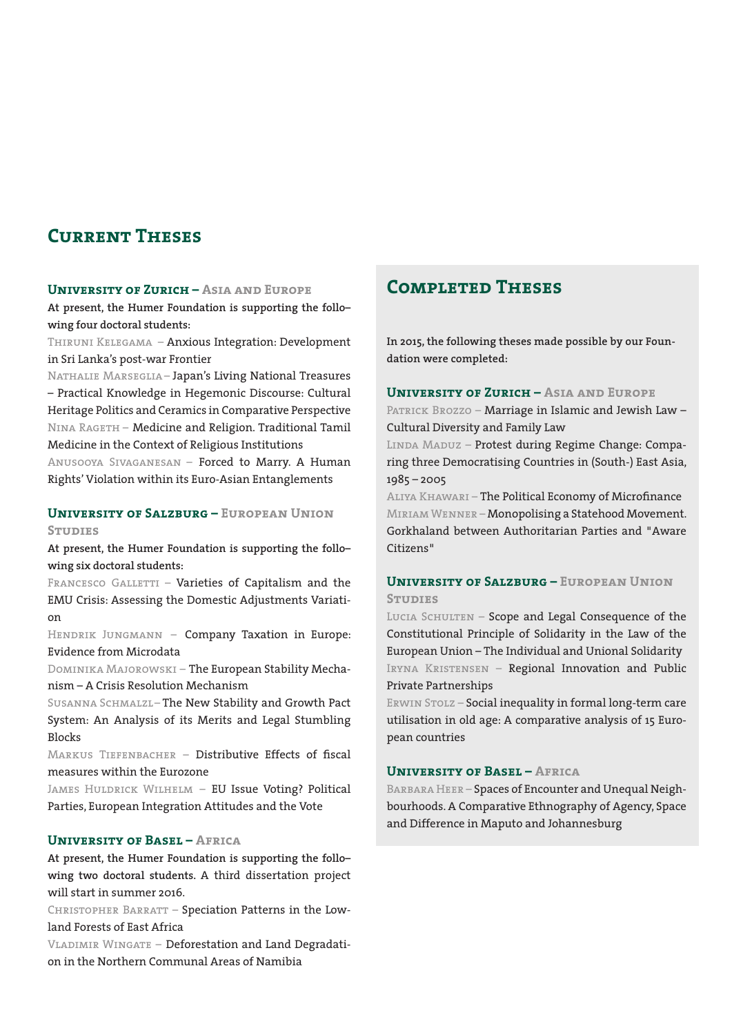# **Current Theses**

#### **University of Zurich – Asia and Europe**

**At present, the Humer Foundation is supporting the follo– wing four doctoral students:**

Thiruni Kelegama – Anxious Integration: Development in Sri Lanka's post-war Frontier

Nathalie Marseglia – Japan's Living National Treasures – Practical Knowledge in Hegemonic Discourse: Cultural Heritage Politics and Ceramics in Comparative Perspective Nina Rageth – Medicine and Religion. Traditional Tamil Medicine in the Context of Religious Institutions

Anusooya Sivaganesan – Forced to Marry. A Human Rights' Violation within its Euro-Asian Entanglements

#### **University of Salzburg – European Union Studies**

**At present, the Humer Foundation is supporting the follo– wing six doctoral students:**

FRANCESCO GALLETTI – Varieties of Capitalism and the EMU Crisis: Assessing the Domestic Adjustments Variation

HENDRIK JUNGMANN - Company Taxation in Europe: Evidence from Microdata

Dominika Majorowski – The European Stability Mechanism – A Crisis Resolution Mechanism

Susanna Schmalzl– The New Stability and Growth Pact System: An Analysis of its Merits and Legal Stumbling **Blocks** 

MARKUS TIEFENBACHER - Distributive Effects of fiscal measures within the Eurozone

James Huldrick Wilhelm – EU Issue Voting? Political Parties, European Integration Attitudes and the Vote

#### **University of Basel – Africa**

**At present, the Humer Foundation is supporting the follo– wing two doctoral students.** A third dissertation project will start in summer 2016.

CHRISTOPHER BARRATT - Speciation Patterns in the Lowland Forests of East Africa

VLADIMIR WINGATE - Deforestation and Land Degradation in the Northern Communal Areas of Namibia

# **Completed Theses**

**In 2015, the following theses made possible by our Foundation were completed:**

#### **University of Zurich – Asia and Europe**

PATRICK BROZZO - Marriage in Islamic and Jewish Law -Cultural Diversity and Family Law

LINDA MADUZ - Protest during Regime Change: Comparing three Democratising Countries in (South-) East Asia, 1985 – 2005

Aliya Khawari – The Political Economy of Microfinance Miriam Wenner – Monopolising a Statehood Movement. Gorkhaland between Authoritarian Parties and "Aware Citizens"

#### **University of Salzburg – European Union Studies**

LUCIA SCHULTEN - Scope and Legal Consequence of the Constitutional Principle of Solidarity in the Law of the European Union – The Individual and Unional Solidarity IRYNA KRISTENSEN - Regional Innovation and Public Private Partnerships

ERWIN STOLZ - Social inequality in formal long-term care utilisation in old age: A comparative analysis of 15 European countries

#### **University of Basel – Africa**

Barbara Heer – Spaces of Encounter and Unequal Neighbourhoods. A Comparative Ethnography of Agency, Space and Difference in Maputo and Johannesburg